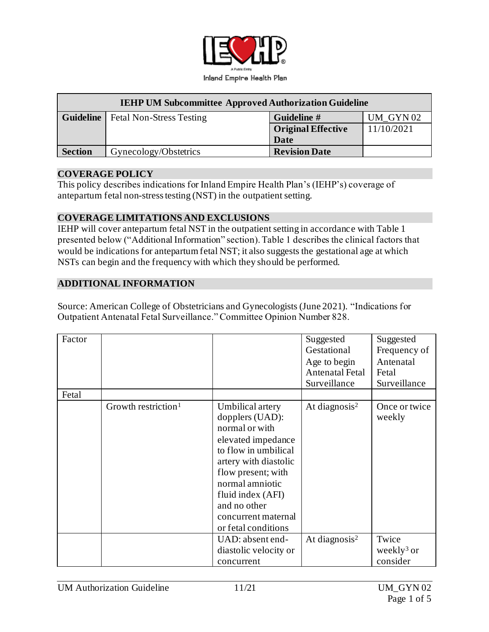

| <b>IEHP UM Subcommittee Approved Authorization Guideline</b> |                                             |                           |            |
|--------------------------------------------------------------|---------------------------------------------|---------------------------|------------|
|                                                              | <b>Guideline</b>   Fetal Non-Stress Testing | Guideline #               | UM GYN02   |
|                                                              |                                             | <b>Original Effective</b> | 11/10/2021 |
|                                                              |                                             | Date                      |            |
| <b>Section</b>                                               | Gynecology/Obstetrics                       | <b>Revision Date</b>      |            |

### **COVERAGE POLICY**

This policy describes indications for Inland Empire Health Plan's (IEHP's) coverage of antepartum fetal non-stress testing (NST) in the outpatient setting.

### **COVERAGE LIMITATIONS AND EXCLUSIONS**

IEHP will cover antepartum fetal NST in the outpatient setting in accordance with Table 1 presented below ("Additional Information" section). Table 1 describes the clinical factors that would be indications for antepartum fetal NST; it also suggests the gestational age at which NSTs can begin and the frequency with which they should be performed.

### **ADDITIONAL INFORMATION**

Source: American College of Obstetricians and Gynecologists (June 2021). "Indications for Outpatient Antenatal Fetal Surveillance." Committee Opinion Number 828.

| Factor<br>Fetal |                                 |                                                                                                                                                                                                                                                          | Suggested<br>Gestational<br>Age to begin<br>Antenatal Fetal<br>Surveillance | Suggested<br>Frequency of<br>Antenatal<br>Fetal<br>Surveillance |
|-----------------|---------------------------------|----------------------------------------------------------------------------------------------------------------------------------------------------------------------------------------------------------------------------------------------------------|-----------------------------------------------------------------------------|-----------------------------------------------------------------|
|                 | Growth restriction <sup>1</sup> | Umbilical artery<br>dopplers (UAD):<br>normal or with<br>elevated impedance<br>to flow in umbilical<br>artery with diastolic<br>flow present; with<br>normal amniotic<br>fluid index (AFI)<br>and no other<br>concurrent maternal<br>or fetal conditions | At diagnosis <sup>2</sup>                                                   | Once or twice<br>weekly                                         |
|                 |                                 | UAD: absent end-<br>diastolic velocity or<br>concurrent                                                                                                                                                                                                  | At diagnosis <sup>2</sup>                                                   | Twice<br>weekly <sup>3</sup> or<br>consider                     |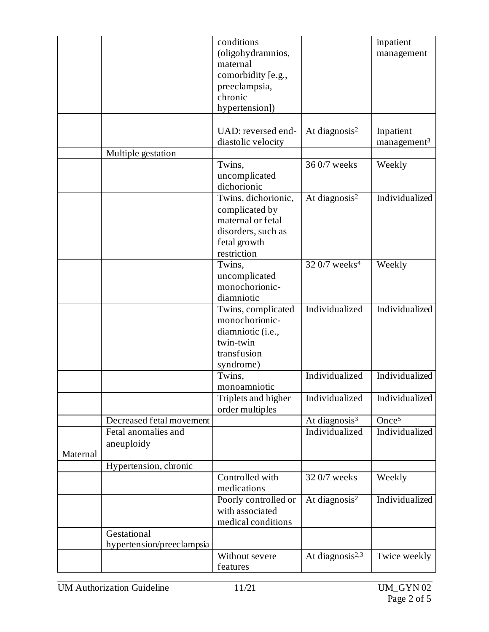|          |                           | conditions           |                             | inpatient                  |
|----------|---------------------------|----------------------|-----------------------------|----------------------------|
|          |                           | (oligohydramnios,    |                             | management                 |
|          |                           | maternal             |                             |                            |
|          |                           | comorbidity [e.g.,   |                             |                            |
|          |                           | preeclampsia,        |                             |                            |
|          |                           | chronic              |                             |                            |
|          |                           | hypertension])       |                             |                            |
|          |                           |                      |                             |                            |
|          |                           | UAD: reversed end-   | At diagnosis <sup>2</sup>   | Inpatient                  |
|          |                           | diastolic velocity   |                             | $m$ anagement <sup>3</sup> |
|          | Multiple gestation        |                      |                             |                            |
|          |                           | Twins,               | 36 0/7 weeks                | Weekly                     |
|          |                           | uncomplicated        |                             |                            |
|          |                           | dichorionic          |                             |                            |
|          |                           | Twins, dichorionic,  | At diagnosis <sup>2</sup>   | Individualized             |
|          |                           | complicated by       |                             |                            |
|          |                           | maternal or fetal    |                             |                            |
|          |                           | disorders, such as   |                             |                            |
|          |                           | fetal growth         |                             |                            |
|          |                           | restriction          |                             |                            |
|          |                           | Twins,               | 32 0/7 weeks <sup>4</sup>   | Weekly                     |
|          |                           | uncomplicated        |                             |                            |
|          |                           | monochorionic-       |                             |                            |
|          |                           | diamniotic           |                             |                            |
|          |                           | Twins, complicated   | Individualized              | Individualized             |
|          |                           | monochorionic-       |                             |                            |
|          |                           | diamniotic (i.e.,    |                             |                            |
|          |                           | twin-twin            |                             |                            |
|          |                           | transfusion          |                             |                            |
|          |                           | syndrome)            |                             |                            |
|          |                           | Twins,               | Individualized              | Individualized             |
|          |                           | monoamniotic         |                             |                            |
|          |                           | Triplets and higher  | Individualized              | Individualized             |
|          |                           | order multiples      |                             |                            |
|          | Decreased fetal movement  |                      | At diagnosis $3$            | Once <sup>5</sup>          |
|          | Fetal anomalies and       |                      | Individualized              | Individualized             |
|          | aneuploidy                |                      |                             |                            |
| Maternal |                           |                      |                             |                            |
|          | Hypertension, chronic     |                      |                             |                            |
|          |                           | Controlled with      | 32 0/7 weeks                | Weekly                     |
|          |                           | medications          |                             |                            |
|          |                           | Poorly controlled or | At diagnosis <sup>2</sup>   | Individualized             |
|          |                           | with associated      |                             |                            |
|          |                           | medical conditions   |                             |                            |
|          | Gestational               |                      |                             |                            |
|          | hypertension/preeclampsia |                      |                             |                            |
|          |                           | Without severe       | At diagnosis <sup>2,3</sup> | Twice weekly               |
|          |                           | features             |                             |                            |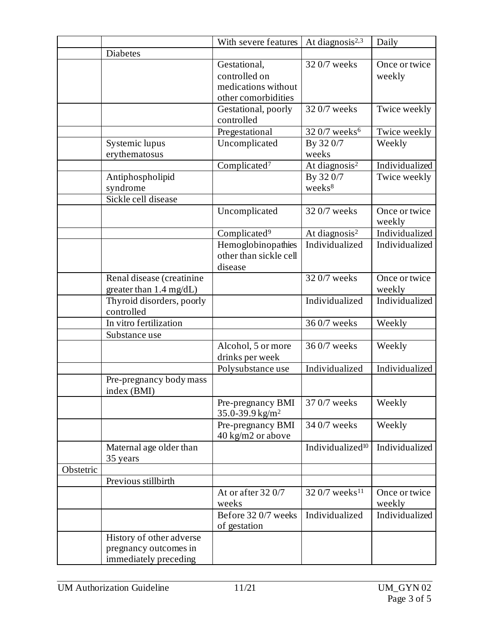|           |                                                                            | With severe features                                                        | At diagnosis <sup>2,3</sup>    | Daily                   |
|-----------|----------------------------------------------------------------------------|-----------------------------------------------------------------------------|--------------------------------|-------------------------|
|           | Diabetes                                                                   |                                                                             |                                |                         |
|           |                                                                            | Gestational,<br>controlled on<br>medications without<br>other comorbidities | 32 0/7 weeks                   | Once or twice<br>weekly |
|           |                                                                            | Gestational, poorly<br>controlled                                           | 32 0/7 weeks                   | Twice weekly            |
|           |                                                                            | Pregestational                                                              | 32 0/7 weeks <sup>6</sup>      | Twice weekly            |
|           | Systemic lupus<br>erythematosus                                            | Uncomplicated                                                               | By 320/7<br>weeks              | Weekly                  |
|           |                                                                            | Complicated <sup>7</sup>                                                    | At diagnosis <sup>2</sup>      | Individualized          |
|           | Antiphospholipid<br>syndrome                                               |                                                                             | By 320/7<br>weeks <sup>8</sup> | Twice weekly            |
|           | Sickle cell disease                                                        |                                                                             |                                |                         |
|           |                                                                            | Uncomplicated                                                               | 32 0/7 weeks                   | Once or twice<br>weekly |
|           |                                                                            | Complicated <sup>9</sup>                                                    | At diagnosis <sup>2</sup>      | Individualized          |
|           |                                                                            | Hemoglobinopathies<br>other than sickle cell<br>disease                     | Individualized                 | Individualized          |
|           | Renal disease (creatinine<br>greater than $1.4 \text{ mg/dL}$ )            |                                                                             | 32 0/7 weeks                   | Once or twice<br>weekly |
|           | Thyroid disorders, poorly<br>controlled                                    |                                                                             | Individualized                 | Individualized          |
|           | In vitro fertilization                                                     |                                                                             | 36 0/7 weeks                   | Weekly                  |
|           | Substance use                                                              |                                                                             |                                |                         |
|           |                                                                            | Alcohol, 5 or more<br>drinks per week                                       | 36 0/7 weeks                   | Weekly                  |
|           |                                                                            | Polysubstance use                                                           | Individualized                 | Individualized          |
|           | Pre-pregnancy body mass<br>index (BMI)                                     |                                                                             |                                |                         |
|           |                                                                            | Pre-pregnancy BMI<br>35.0-39.9 kg/m <sup>2</sup>                            | 37 0/7 weeks                   | Weekly                  |
|           |                                                                            | Pre-pregnancy BMI<br>40 kg/m2 or above                                      | 34 0/7 weeks                   | Weekly                  |
|           | Maternal age older than<br>35 years                                        |                                                                             | Individualized <sup>10</sup>   | Individualized          |
| Obstetric |                                                                            |                                                                             |                                |                         |
|           | Previous stillbirth                                                        |                                                                             |                                |                         |
|           |                                                                            | At or after 32 0/7<br>weeks                                                 | 32 0/7 weeks <sup>11</sup>     | Once or twice<br>weekly |
|           |                                                                            | Before 320/7 weeks<br>of gestation                                          | Individualized                 | Individualized          |
|           | History of other adverse<br>pregnancy outcomes in<br>immediately preceding |                                                                             |                                |                         |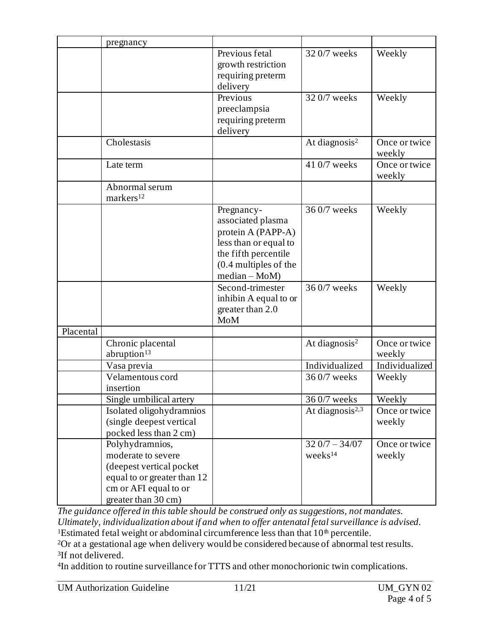|           | pregnancy                                                                                                                                         |                                                                                                                                                     |                                        |                         |
|-----------|---------------------------------------------------------------------------------------------------------------------------------------------------|-----------------------------------------------------------------------------------------------------------------------------------------------------|----------------------------------------|-------------------------|
|           |                                                                                                                                                   | Previous fetal<br>growth restriction<br>requiring preterm<br>delivery                                                                               | 32 0/7 weeks                           | Weekly                  |
|           |                                                                                                                                                   | Previous<br>preeclampsia<br>requiring preterm<br>delivery                                                                                           | 32 0/7 weeks                           | Weekly                  |
|           | Cholestasis                                                                                                                                       |                                                                                                                                                     | At diagnosis <sup>2</sup>              | Once or twice<br>weekly |
|           | Late term                                                                                                                                         |                                                                                                                                                     | 41 0/7 weeks                           | Once or twice<br>weekly |
|           | Abnormal serum<br>markers <sup>12</sup>                                                                                                           |                                                                                                                                                     |                                        |                         |
|           |                                                                                                                                                   | Pregnancy-<br>associated plasma<br>protein A (PAPP-A)<br>less than or equal to<br>the fifth percentile<br>$(0.4$ multiples of the<br>$median - MoM$ | 36 0/7 weeks                           | Weekly                  |
|           |                                                                                                                                                   | Second-trimester<br>inhibin A equal to or<br>greater than 2.0<br><b>MoM</b>                                                                         | 36 0/7 weeks                           | Weekly                  |
| Placental |                                                                                                                                                   |                                                                                                                                                     |                                        |                         |
|           | Chronic placental<br>abruption <sup>13</sup>                                                                                                      |                                                                                                                                                     | At diagnosis <sup>2</sup>              | Once or twice<br>weekly |
|           | Vasa previa                                                                                                                                       |                                                                                                                                                     | Individualized                         | Individualized          |
|           | Velamentous cord<br>insertion                                                                                                                     |                                                                                                                                                     | 36 0/7 weeks                           | Weekly                  |
|           | Single umbilical artery                                                                                                                           |                                                                                                                                                     | 36 0/7 weeks                           | Weekly                  |
|           | Isolated oligohydramnios<br>(single deepest vertical<br>pocked less than 2 cm)                                                                    |                                                                                                                                                     | At diagnosis $2,3$                     | Once or twice<br>weekly |
|           | Polyhydramnios,<br>moderate to severe<br>(deepest vertical pocket)<br>equal to or greater than 12<br>cm or AFI equal to or<br>greater than 30 cm) |                                                                                                                                                     | $320/7 - 34/07$<br>weeks <sup>14</sup> | Once or twice<br>weekly |

*The guidance offered in this table should be construed only as suggestions, not mandates. Ultimately, individualization about if and when to offer antenatal fetal surveillance is advised.* <sup>1</sup>Estimated fetal weight or abdominal circumference less than that  $10<sup>th</sup>$  percentile.

<sup>2</sup>Or at a gestational age when delivery would be considered because of abnormal test results. 3 If not delivered.

4 In addition to routine surveillance for TTTS and other monochorionic twin complications.